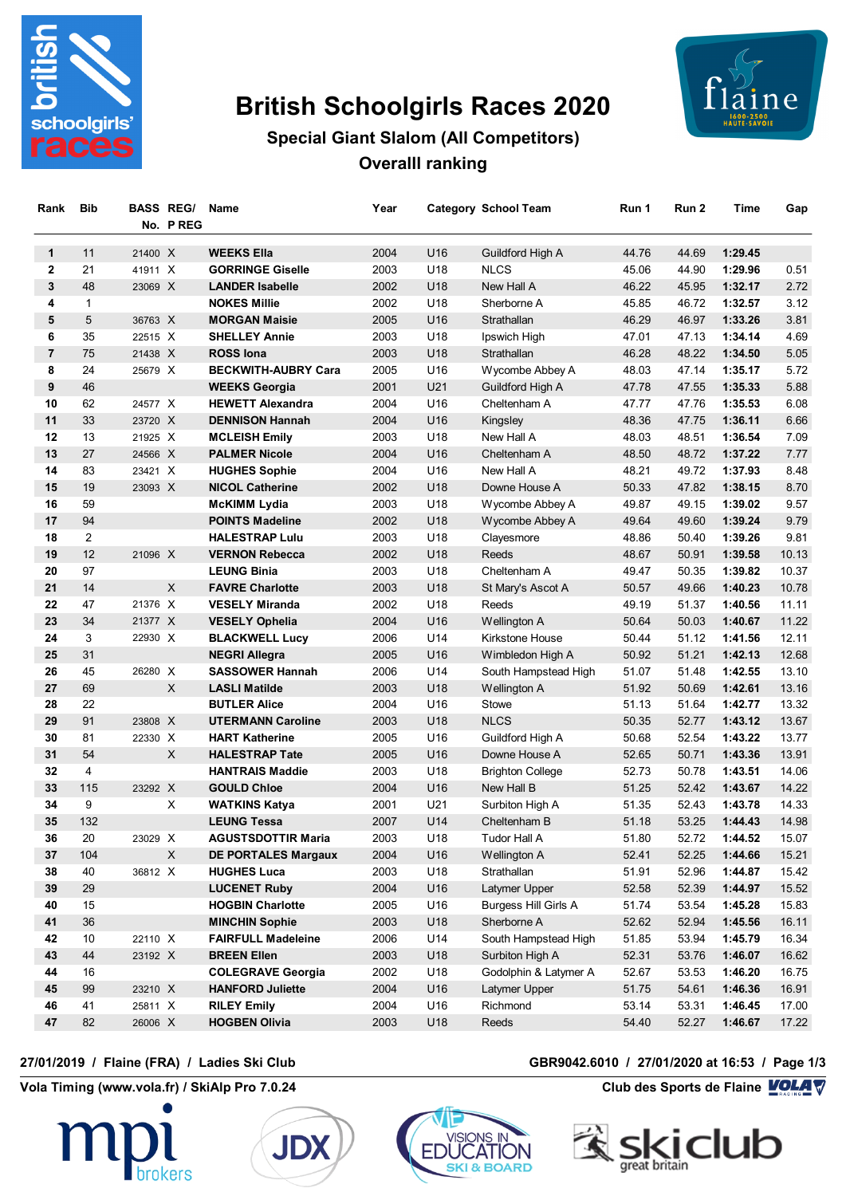

# **British Schoolgirls Races 2020**



# **Special Giant Slalom (All Competitors) Overalll ranking**

| Rank           | Bib            |         | <b>BASS REG/</b><br>No. PREG | Name                       | Year |                 | <b>Category School Team</b> | Run 1 | Run 2 | Time    | Gap   |
|----------------|----------------|---------|------------------------------|----------------------------|------|-----------------|-----------------------------|-------|-------|---------|-------|
| 1              | 11             | 21400 X |                              | <b>WEEKS Ella</b>          | 2004 | U <sub>16</sub> | Guildford High A            | 44.76 | 44.69 | 1:29.45 |       |
| $\mathbf{2}$   | 21             | 41911 X |                              | <b>GORRINGE Giselle</b>    | 2003 | U18             | <b>NLCS</b>                 | 45.06 | 44.90 | 1:29.96 | 0.51  |
| 3              | 48             | 23069 X |                              | <b>LANDER Isabelle</b>     | 2002 | U18             | New Hall A                  | 46.22 | 45.95 | 1:32.17 | 2.72  |
| 4              | $\mathbf{1}$   |         |                              | <b>NOKES Millie</b>        | 2002 | U18             | Sherborne A                 | 45.85 | 46.72 | 1:32.57 | 3.12  |
| 5              | 5              | 36763 X |                              | <b>MORGAN Maisie</b>       | 2005 | U16             | Strathallan                 | 46.29 | 46.97 | 1:33.26 | 3.81  |
| 6              | 35             | 22515 X |                              | <b>SHELLEY Annie</b>       | 2003 | U18             | Ipswich High                | 47.01 | 47.13 | 1:34.14 | 4.69  |
| $\overline{7}$ | 75             | 21438 X |                              | <b>ROSS lona</b>           | 2003 | U18             | Strathallan                 | 46.28 | 48.22 | 1:34.50 | 5.05  |
| 8              | 24             | 25679 X |                              | <b>BECKWITH-AUBRY Cara</b> | 2005 | U16             | Wycombe Abbey A             | 48.03 | 47.14 | 1:35.17 | 5.72  |
| 9              | 46             |         |                              | <b>WEEKS Georgia</b>       | 2001 | U21             | Guildford High A            | 47.78 | 47.55 | 1:35.33 | 5.88  |
| 10             | 62             | 24577 X |                              | <b>HEWETT Alexandra</b>    | 2004 | U16             | Cheltenham A                | 47.77 | 47.76 | 1:35.53 | 6.08  |
| 11             | 33             | 23720 X |                              | <b>DENNISON Hannah</b>     | 2004 | U16             | Kingsley                    | 48.36 | 47.75 | 1:36.11 | 6.66  |
| 12             | 13             | 21925 X |                              | <b>MCLEISH Emily</b>       | 2003 | U18             | New Hall A                  | 48.03 | 48.51 | 1:36.54 | 7.09  |
| 13             | 27             | 24566 X |                              | <b>PALMER Nicole</b>       | 2004 | U16             | Cheltenham A                | 48.50 | 48.72 | 1:37.22 | 7.77  |
| 14             | 83             | 23421 X |                              | <b>HUGHES Sophie</b>       | 2004 | U16             | New Hall A                  | 48.21 | 49.72 | 1:37.93 | 8.48  |
| 15             | 19             | 23093 X |                              | <b>NICOL Catherine</b>     | 2002 | U18             | Downe House A               | 50.33 | 47.82 | 1:38.15 | 8.70  |
| 16             | 59             |         |                              | <b>McKIMM Lydia</b>        | 2003 | U18             | Wycombe Abbey A             | 49.87 | 49.15 | 1:39.02 | 9.57  |
| 17             | 94             |         |                              | <b>POINTS Madeline</b>     | 2002 | U18             | Wycombe Abbey A             | 49.64 | 49.60 | 1:39.24 | 9.79  |
| 18             | $\overline{2}$ |         |                              | <b>HALESTRAP Lulu</b>      | 2003 | U18             | Clayesmore                  | 48.86 | 50.40 | 1:39.26 | 9.81  |
| 19             | 12             | 21096 X |                              | <b>VERNON Rebecca</b>      | 2002 | U18             | Reeds                       | 48.67 | 50.91 | 1:39.58 | 10.13 |
| 20             | 97             |         |                              | <b>LEUNG Binia</b>         | 2003 | U18             | Cheltenham A                | 49.47 | 50.35 | 1:39.82 | 10.37 |
| 21             | 14             |         | X                            | <b>FAVRE Charlotte</b>     | 2003 | U18             | St Mary's Ascot A           | 50.57 | 49.66 | 1:40.23 | 10.78 |
| 22             | 47             | 21376 X |                              | <b>VESELY Miranda</b>      | 2002 | U18             | Reeds                       | 49.19 | 51.37 | 1:40.56 | 11.11 |
| 23             | 34             | 21377 X |                              | <b>VESELY Ophelia</b>      | 2004 | U16             | Wellington A                | 50.64 | 50.03 | 1:40.67 | 11.22 |
| 24             | 3              | 22930 X |                              | <b>BLACKWELL Lucy</b>      | 2006 | U14             | Kirkstone House             | 50.44 | 51.12 | 1:41.56 | 12.11 |
| 25             | 31             |         |                              | <b>NEGRI Allegra</b>       | 2005 | U16             | Wimbledon High A            | 50.92 | 51.21 | 1:42.13 | 12.68 |
| 26             | 45             | 26280 X |                              | <b>SASSOWER Hannah</b>     | 2006 | U14             | South Hampstead High        | 51.07 | 51.48 | 1:42.55 | 13.10 |
| 27             | 69             |         | X.                           | <b>LASLI Matilde</b>       | 2003 | U18             | Wellington A                | 51.92 | 50.69 | 1:42.61 | 13.16 |
| 28             | 22             |         |                              | <b>BUTLER Alice</b>        | 2004 | U16             | Stowe                       | 51.13 | 51.64 | 1:42.77 | 13.32 |
| 29             | 91             | 23808 X |                              | <b>UTERMANN Caroline</b>   | 2003 | U18             | <b>NLCS</b>                 | 50.35 | 52.77 | 1:43.12 | 13.67 |
| 30             | 81             | 22330 X |                              | <b>HART Katherine</b>      | 2005 | U16             | Guildford High A            | 50.68 | 52.54 | 1:43.22 | 13.77 |
| 31             | 54             |         | $\mathsf X$                  | <b>HALESTRAP Tate</b>      | 2005 | U16             | Downe House A               | 52.65 | 50.71 | 1:43.36 | 13.91 |
| 32             | 4              |         |                              | <b>HANTRAIS Maddie</b>     | 2003 | U18             | <b>Brighton College</b>     | 52.73 | 50.78 | 1:43.51 | 14.06 |
| 33             | 115            | 23292 X |                              | <b>GOULD Chloe</b>         | 2004 | U16             | New Hall B                  | 51.25 | 52.42 | 1:43.67 | 14.22 |
| 34             | 9              |         | X                            | <b>WATKINS Katya</b>       | 2001 | U21             | Surbiton High A             | 51.35 | 52.43 | 1:43.78 | 14.33 |
| 35             | 132            |         |                              | <b>LEUNG Tessa</b>         | 2007 | U14             | Cheltenham B                | 51.18 | 53.25 | 1:44.43 | 14.98 |
| 36             | 20             | 23029 X |                              | AGUSTSDOTTIR Maria         | 2003 | U18             | Tudor Hall A                | 51.80 | 52.72 | 1:44.52 | 15.07 |
| 37             | 104            |         | X                            | <b>DE PORTALES Margaux</b> | 2004 | U16             | <b>Wellington A</b>         | 52.41 | 52.25 | 1:44.66 | 15.21 |
| 38             | 40             | 36812 X |                              | <b>HUGHES Luca</b>         | 2003 | U18             | Strathallan                 | 51.91 | 52.96 | 1:44.87 | 15.42 |
| 39             | 29             |         |                              | <b>LUCENET Ruby</b>        | 2004 | U16             | Latymer Upper               | 52.58 | 52.39 | 1:44.97 | 15.52 |
| 40             | 15             |         |                              | <b>HOGBIN Charlotte</b>    | 2005 | U16             | Burgess Hill Girls A        | 51.74 | 53.54 | 1:45.28 | 15.83 |
| 41             | 36             |         |                              | <b>MINCHIN Sophie</b>      | 2003 | U18             | Sherborne A                 | 52.62 | 52.94 | 1:45.56 | 16.11 |
| 42             | 10             | 22110 X |                              | <b>FAIRFULL Madeleine</b>  | 2006 | U14             | South Hampstead High        | 51.85 | 53.94 | 1:45.79 | 16.34 |
| 43             | 44             | 23192 X |                              | <b>BREEN Ellen</b>         | 2003 | U18             | Surbiton High A             | 52.31 | 53.76 | 1:46.07 | 16.62 |
| 44             | 16             |         |                              | <b>COLEGRAVE Georgia</b>   | 2002 | U18             | Godolphin & Latymer A       | 52.67 | 53.53 | 1:46.20 | 16.75 |
| 45             | 99             | 23210 X |                              | <b>HANFORD Juliette</b>    | 2004 | U16             | Latymer Upper               | 51.75 | 54.61 | 1:46.36 | 16.91 |
| 46             | 41             | 25811 X |                              | <b>RILEY Emily</b>         | 2004 | U16             | Richmond                    | 53.14 | 53.31 | 1:46.45 | 17.00 |
| 47             | 82             | 26006 X |                              | <b>HOGBEN Olivia</b>       | 2003 | U18             | Reeds                       | 54.40 | 52.27 | 1:46.67 | 17.22 |

**Vola Timing (www.vola.fr) / SkiAlp Pro 7.0.24 Club des Sports de Flaine VOLA V** 







### **27/01/2019 / Flaine (FRA) / Ladies Ski Club GBR9042.6010 / 27/01/2020 at 16:53 / Page 1/3**

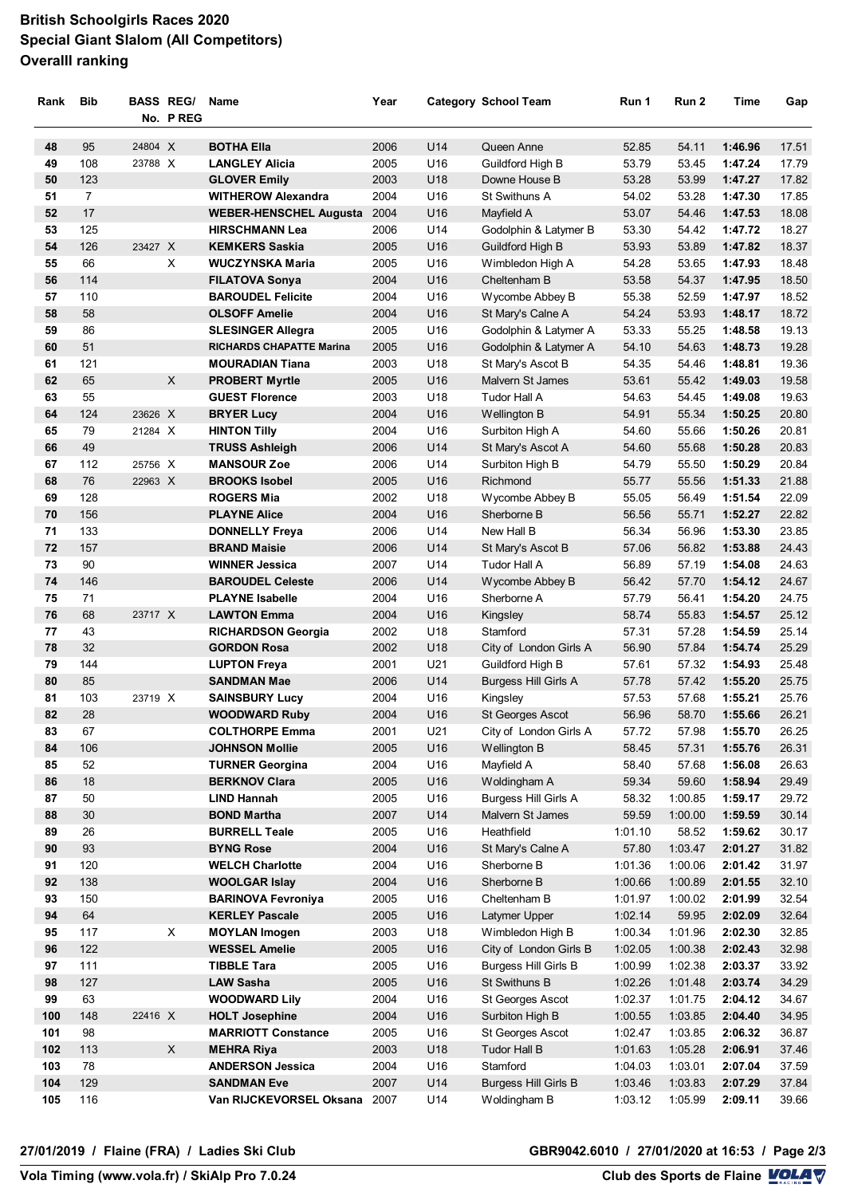# **British Schoolgirls Races 2020 Special Giant Slalom (All Competitors) Overalll ranking**

| Rank | <b>Bib</b>     |         | <b>BASS REG/</b><br>No. PREG | Name                            | Year |     | <b>Category School Team</b>                | Run 1   | Run 2   | Time    | Gap   |
|------|----------------|---------|------------------------------|---------------------------------|------|-----|--------------------------------------------|---------|---------|---------|-------|
| 48   | 95             | 24804 X |                              | <b>BOTHA Ella</b>               | 2006 | U14 | Queen Anne                                 | 52.85   | 54.11   | 1:46.96 | 17.51 |
| 49   | 108            | 23788 X |                              | <b>LANGLEY Alicia</b>           | 2005 | U16 | Guildford High B                           | 53.79   | 53.45   | 1:47.24 | 17.79 |
| 50   | 123            |         |                              | <b>GLOVER Emily</b>             | 2003 | U18 | Downe House B                              | 53.28   | 53.99   | 1:47.27 | 17.82 |
| 51   | $\overline{7}$ |         |                              | <b>WITHEROW Alexandra</b>       | 2004 | U16 | St Swithuns A                              | 54.02   | 53.28   | 1:47.30 | 17.85 |
| 52   | 17             |         |                              | <b>WEBER-HENSCHEL Augusta</b>   | 2004 | U16 | Mayfield A                                 | 53.07   | 54.46   | 1:47.53 | 18.08 |
| 53   | 125            |         |                              | <b>HIRSCHMANN Lea</b>           | 2006 | U14 | Godolphin & Latymer B                      | 53.30   | 54.42   | 1:47.72 | 18.27 |
| 54   | 126            | 23427 X |                              | <b>KEMKERS Saskia</b>           | 2005 | U16 | Guildford High B                           | 53.93   | 53.89   | 1:47.82 | 18.37 |
| 55   | 66             |         | X                            | <b>WUCZYNSKA Maria</b>          | 2005 | U16 | Wimbledon High A                           | 54.28   | 53.65   | 1:47.93 | 18.48 |
| 56   | 114            |         |                              | <b>FILATOVA Sonya</b>           | 2004 | U16 | Cheltenham B                               | 53.58   | 54.37   | 1:47.95 | 18.50 |
| 57   | 110            |         |                              | <b>BAROUDEL Felicite</b>        | 2004 | U16 | Wycombe Abbey B                            | 55.38   | 52.59   | 1:47.97 | 18.52 |
| 58   | 58             |         |                              | <b>OLSOFF Amelie</b>            | 2004 | U16 |                                            | 54.24   | 53.93   | 1:48.17 | 18.72 |
| 59   | 86             |         |                              |                                 | 2005 | U16 | St Mary's Calne A<br>Godolphin & Latymer A | 53.33   | 55.25   | 1:48.58 | 19.13 |
|      |                |         |                              | <b>SLESINGER Allegra</b>        |      |     |                                            |         |         |         |       |
| 60   | 51             |         |                              | <b>RICHARDS CHAPATTE Marina</b> | 2005 | U16 | Godolphin & Latymer A                      | 54.10   | 54.63   | 1:48.73 | 19.28 |
| 61   | 121            |         |                              | <b>MOURADIAN Tiana</b>          | 2003 | U18 | St Mary's Ascot B                          | 54.35   | 54.46   | 1:48.81 | 19.36 |
| 62   | 65             |         | X.                           | <b>PROBERT Myrtle</b>           | 2005 | U16 | Malvern St James                           | 53.61   | 55.42   | 1:49.03 | 19.58 |
| 63   | 55             |         |                              | <b>GUEST Florence</b>           | 2003 | U18 | Tudor Hall A                               | 54.63   | 54.45   | 1:49.08 | 19.63 |
| 64   | 124            | 23626 X |                              | <b>BRYER Lucy</b>               | 2004 | U16 | Wellington B                               | 54.91   | 55.34   | 1:50.25 | 20.80 |
| 65   | 79             | 21284 X |                              | <b>HINTON Tilly</b>             | 2004 | U16 | Surbiton High A                            | 54.60   | 55.66   | 1:50.26 | 20.81 |
| 66   | 49             |         |                              | <b>TRUSS Ashleigh</b>           | 2006 | U14 | St Mary's Ascot A                          | 54.60   | 55.68   | 1:50.28 | 20.83 |
| 67   | 112            | 25756 X |                              | <b>MANSOUR Zoe</b>              | 2006 | U14 | Surbiton High B                            | 54.79   | 55.50   | 1:50.29 | 20.84 |
| 68   | 76             | 22963 X |                              | <b>BROOKS Isobel</b>            | 2005 | U16 | Richmond                                   | 55.77   | 55.56   | 1:51.33 | 21.88 |
| 69   | 128            |         |                              | <b>ROGERS Mia</b>               | 2002 | U18 | Wycombe Abbey B                            | 55.05   | 56.49   | 1:51.54 | 22.09 |
| 70   | 156            |         |                              | <b>PLAYNE Alice</b>             | 2004 | U16 | Sherborne B                                | 56.56   | 55.71   | 1:52.27 | 22.82 |
| 71   | 133            |         |                              | <b>DONNELLY Freya</b>           | 2006 | U14 | New Hall B                                 | 56.34   | 56.96   | 1:53.30 | 23.85 |
| 72   | 157            |         |                              | <b>BRAND Maisie</b>             | 2006 | U14 | St Mary's Ascot B                          | 57.06   | 56.82   | 1:53.88 | 24.43 |
| 73   | 90             |         |                              | <b>WINNER Jessica</b>           | 2007 | U14 | Tudor Hall A                               | 56.89   | 57.19   | 1:54.08 | 24.63 |
| 74   | 146            |         |                              | <b>BAROUDEL Celeste</b>         | 2006 | U14 | Wycombe Abbey B                            | 56.42   | 57.70   | 1:54.12 | 24.67 |
| 75   | 71             |         |                              | <b>PLAYNE Isabelle</b>          | 2004 | U16 | Sherborne A                                | 57.79   | 56.41   | 1:54.20 | 24.75 |
| 76   | 68             | 23717 X |                              | <b>LAWTON Emma</b>              | 2004 | U16 | Kingsley                                   | 58.74   | 55.83   | 1:54.57 | 25.12 |
| 77   | 43             |         |                              | <b>RICHARDSON Georgia</b>       | 2002 | U18 | Stamford                                   | 57.31   | 57.28   | 1:54.59 | 25.14 |
| 78   | 32             |         |                              | <b>GORDON Rosa</b>              | 2002 | U18 | City of London Girls A                     | 56.90   | 57.84   | 1:54.74 | 25.29 |
| 79   | 144            |         |                              | <b>LUPTON Freya</b>             | 2001 | U21 | Guildford High B                           | 57.61   | 57.32   | 1:54.93 | 25.48 |
| 80   | 85             |         |                              | <b>SANDMAN Mae</b>              | 2006 | U14 | Burgess Hill Girls A                       | 57.78   | 57.42   | 1:55.20 | 25.75 |
| 81   | 103            | 23719 X |                              | <b>SAINSBURY Lucy</b>           | 2004 | U16 | Kingsley                                   | 57.53   | 57.68   | 1:55.21 | 25.76 |
| 82   | 28             |         |                              | <b>WOODWARD Ruby</b>            | 2004 | U16 | St Georges Ascot                           | 56.96   | 58.70   | 1:55.66 | 26.21 |
| 83   | 67             |         |                              | <b>COLTHORPE Emma</b>           | 2001 | U21 | City of London Girls A                     | 57.72   | 57.98   | 1:55.70 | 26.25 |
| 84   | 106            |         |                              | <b>JOHNSON Mollie</b>           | 2005 | U16 | Wellington B                               | 58.45   | 57.31   | 1:55.76 | 26.31 |
| 85   | 52             |         |                              | <b>TURNER Georgina</b>          | 2004 | U16 | Mayfield A                                 | 58.40   | 57.68   | 1:56.08 | 26.63 |
| 86   | 18             |         |                              | <b>BERKNOV Clara</b>            | 2005 | U16 | Woldingham A                               | 59.34   | 59.60   | 1:58.94 | 29.49 |
| 87   | 50             |         |                              | <b>LIND Hannah</b>              | 2005 | U16 | Burgess Hill Girls A                       | 58.32   | 1:00.85 | 1:59.17 | 29.72 |
| 88   | 30             |         |                              | <b>BOND Martha</b>              | 2007 | U14 | Malvern St James                           | 59.59   | 1:00.00 | 1:59.59 | 30.14 |
| 89   | 26             |         |                              | <b>BURRELL Teale</b>            | 2005 | U16 | Heathfield                                 | 1:01.10 | 58.52   | 1:59.62 | 30.17 |
| 90   | 93             |         |                              | <b>BYNG Rose</b>                | 2004 | U16 | St Mary's Calne A                          | 57.80   | 1:03.47 | 2:01.27 | 31.82 |
| 91   | 120            |         |                              | <b>WELCH Charlotte</b>          | 2004 | U16 | Sherborne B                                | 1:01.36 | 1:00.06 | 2:01.42 | 31.97 |
| 92   | 138            |         |                              | <b>WOOLGAR Islay</b>            | 2004 | U16 | Sherborne B                                | 1:00.66 | 1:00.89 | 2:01.55 | 32.10 |
| 93   | 150            |         |                              | <b>BARINOVA Fevroniya</b>       | 2005 | U16 | Cheltenham B                               | 1:01.97 | 1:00.02 | 2:01.99 | 32.54 |
| 94   | 64             |         |                              | <b>KERLEY Pascale</b>           | 2005 | U16 | Latymer Upper                              | 1:02.14 | 59.95   | 2:02.09 | 32.64 |
| 95   | 117            |         | X                            | <b>MOYLAN Imogen</b>            | 2003 | U18 | Wimbledon High B                           | 1:00.34 | 1:01.96 | 2:02.30 | 32.85 |
| 96   | 122            |         |                              | <b>WESSEL Amelie</b>            | 2005 | U16 | City of London Girls B                     | 1:02.05 | 1:00.38 | 2:02.43 | 32.98 |
| 97   | 111            |         |                              | <b>TIBBLE Tara</b>              | 2005 | U16 | Burgess Hill Girls B                       | 1:00.99 | 1:02.38 | 2:03.37 | 33.92 |
| 98   | 127            |         |                              | <b>LAW Sasha</b>                | 2005 | U16 | St Swithuns B                              | 1:02.26 | 1:01.48 | 2:03.74 | 34.29 |
| 99   | 63             |         |                              | <b>WOODWARD Lily</b>            | 2004 | U16 | St Georges Ascot                           | 1:02.37 | 1:01.75 | 2:04.12 | 34.67 |
| 100  | 148            | 22416 X |                              | <b>HOLT Josephine</b>           | 2004 | U16 | Surbiton High B                            | 1:00.55 | 1:03.85 | 2:04.40 | 34.95 |
| 101  | 98             |         |                              | <b>MARRIOTT Constance</b>       | 2005 | U16 | St Georges Ascot                           | 1:02.47 | 1:03.85 | 2:06.32 | 36.87 |
| 102  | 113            |         | X                            | <b>MEHRA Riya</b>               | 2003 | U18 | <b>Tudor Hall B</b>                        | 1:01.63 | 1:05.28 | 2:06.91 | 37.46 |
| 103  | 78             |         |                              | <b>ANDERSON Jessica</b>         | 2004 | U16 | Stamford                                   | 1:04.03 | 1:03.01 | 2:07.04 | 37.59 |
| 104  | 129            |         |                              | <b>SANDMAN Eve</b>              | 2007 | U14 | <b>Burgess Hill Girls B</b>                | 1:03.46 | 1:03.83 | 2:07.29 | 37.84 |
| 105  | 116            |         |                              | Van RIJCKEVORSEL Oksana 2007    |      | U14 | Woldingham B                               | 1:03.12 | 1:05.99 | 2:09.11 | 39.66 |
|      |                |         |                              |                                 |      |     |                                            |         |         |         |       |